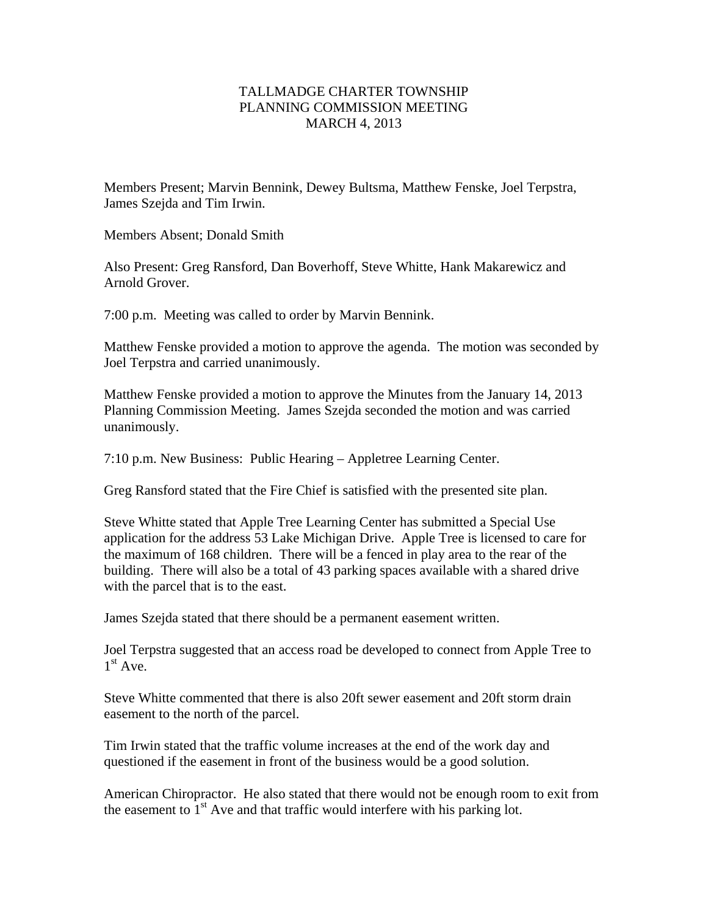## TALLMADGE CHARTER TOWNSHIP PLANNING COMMISSION MEETING MARCH 4, 2013

Members Present; Marvin Bennink, Dewey Bultsma, Matthew Fenske, Joel Terpstra, James Szejda and Tim Irwin.

Members Absent; Donald Smith

Also Present: Greg Ransford, Dan Boverhoff, Steve Whitte, Hank Makarewicz and Arnold Grover.

7:00 p.m. Meeting was called to order by Marvin Bennink.

Matthew Fenske provided a motion to approve the agenda. The motion was seconded by Joel Terpstra and carried unanimously.

Matthew Fenske provided a motion to approve the Minutes from the January 14, 2013 Planning Commission Meeting. James Szejda seconded the motion and was carried unanimously.

7:10 p.m. New Business: Public Hearing – Appletree Learning Center.

Greg Ransford stated that the Fire Chief is satisfied with the presented site plan.

Steve Whitte stated that Apple Tree Learning Center has submitted a Special Use application for the address 53 Lake Michigan Drive. Apple Tree is licensed to care for the maximum of 168 children. There will be a fenced in play area to the rear of the building. There will also be a total of 43 parking spaces available with a shared drive with the parcel that is to the east.

James Szejda stated that there should be a permanent easement written.

Joel Terpstra suggested that an access road be developed to connect from Apple Tree to  $1<sup>st</sup>$  Ave.

Steve Whitte commented that there is also 20ft sewer easement and 20ft storm drain easement to the north of the parcel.

Tim Irwin stated that the traffic volume increases at the end of the work day and questioned if the easement in front of the business would be a good solution.

American Chiropractor. He also stated that there would not be enough room to exit from the easement to  $1<sup>st</sup>$  Ave and that traffic would interfere with his parking lot.